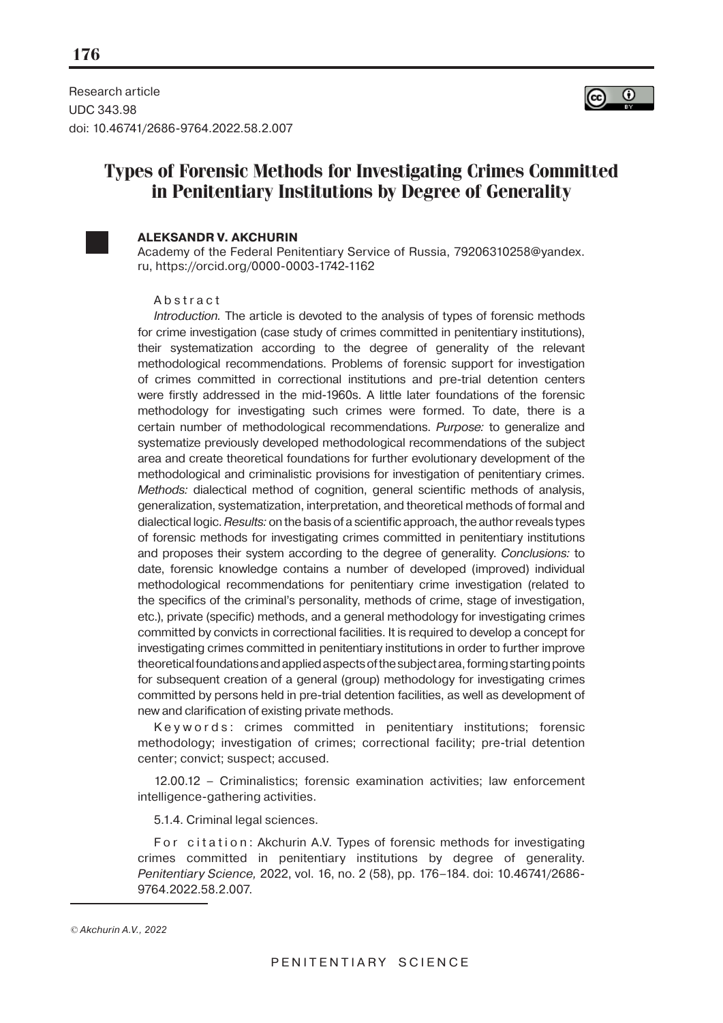

Research article UDC 343.98 doi: 10.46741/2686-9764.2022.58.2.007

# **Types of Forensic Methods for Investigating Crimes Committed in Penitentiary Institutions by Degree of Generality**



### **ALEKSANDR V. AKCHURIN**

Academy of the Federal Penitentiary Service of Russia, 79206310258@yandex. ru, https://orcid.org/0000-0003-1742-1162

#### Abstract

Introduction. Тhe article is devoted to the analysis of types of forensic methods for crime investigation (case study of crimes committed in penitentiary institutions), their systematization according to the degree of generality of the relevant methodological recommendations. Problems of forensic support for investigation of crimes committed in correctional institutions and pre-trial detention centers were firstly addressed in the mid-1960s. A little later foundations of the forensic methodology for investigating such crimes were formed. To date, there is a certain number of methodological recommendations. Purpose: to generalize and systematize previously developed methodological recommendations of the subject area and create theoretical foundations for further evolutionary development of the methodological and criminalistic provisions for investigation of penitentiary crimes. Methods: dialectical method of cognition, general scientific methods of analysis, generalization, systematization, interpretation, and theoretical methods of formal and dialectical logic. Results: on the basis of a scientific approach, the author reveals types of forensic methods for investigating crimes committed in penitentiary institutions and proposes their system according to the degree of generality. Conclusions: to date, forensic knowledge contains a number of developed (improved) individual methodological recommendations for penitentiary crime investigation (related to the specifics of the criminal's personality, methods of crime, stage of investigation, etc.), private (specific) methods, and a general methodology for investigating crimes committed by convicts in correctional facilities. It is required to develop a concept for investigating crimes committed in penitentiary institutions in order to further improve theoretical foundations and applied aspects of the subject area, forming starting points for subsequent creation of a general (group) methodology for investigating crimes committed by persons held in pre-trial detention facilities, as well as development of new and clarification of existing private methods.

Keywords: crimes committed in penitentiary institutions; forensic methodology; investigation of crimes; correctional facility; pre-trial detention center; convict; suspect; accused.

12.00.12 – Criminalistics; forensic examination activities; law enforcement intelligence-gathering activities.

5.1.4. Criminal legal sciences.

For citation: Akchurin A.V. Types of forensic methods for investigating crimes committed in penitentiary institutions by degree of generality. Penitentiary Science, 2022, vol. 16, no. 2 (58), pp. 176–184. doi: 10.46741/2686- 9764.2022.58.2.007.

*<sup>©</sup>* Akchurin A.V.*, 2022*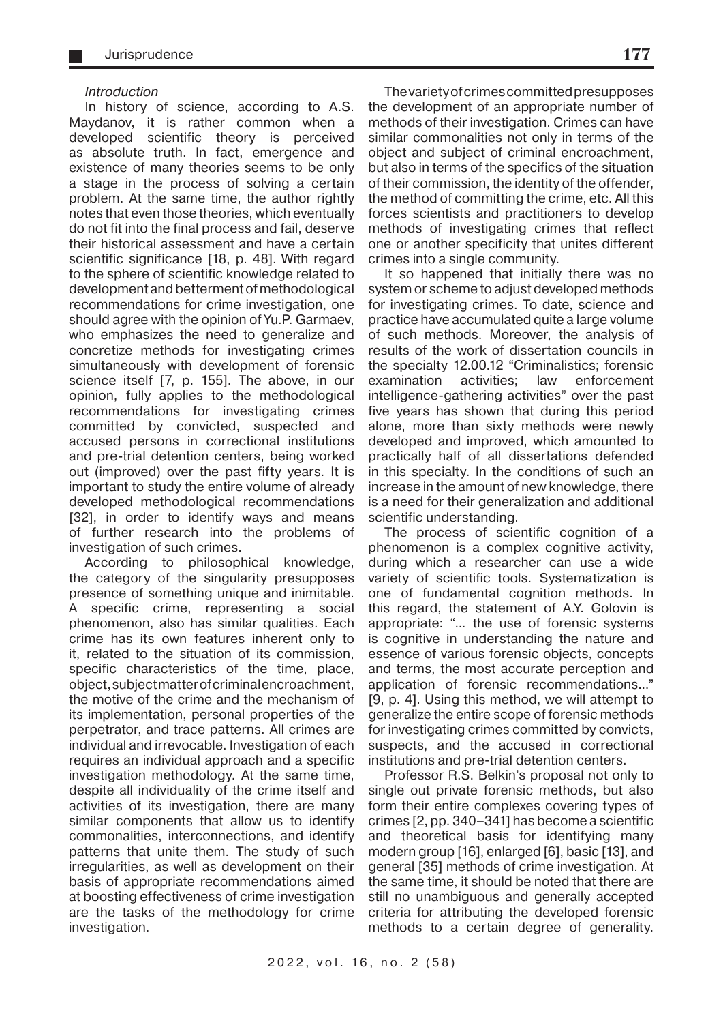#### Introduction

In history of science, according to A.S. Maydanov, it is rather common when a developed scientific theory is perceived as absolute truth. In fact, emergence and existence of many theories seems to be only a stage in the process of solving a certain problem. At the same time, the author rightly notes that even those theories, which eventually do not fit into the final process and fail, deserve their historical assessment and have a certain scientific significance [18, p. 48]. With regard to the sphere of scientific knowledge related to development and betterment of methodological recommendations for crime investigation, one should agree with the opinion of Yu.P. Garmaev, who emphasizes the need to generalize and concretize methods for investigating crimes simultaneously with development of forensic science itself [7, p. 155]. The above, in our opinion, fully applies to the methodological recommendations for investigating crimes committed by convicted, suspected and accused persons in correctional institutions and pre-trial detention centers, being worked out (improved) over the past fifty years. It is important to study the entire volume of already developed methodological recommendations [32], in order to identify ways and means of further research into the problems of investigation of such crimes.

According to philosophical knowledge, the category of the singularity presupposes presence of something unique and inimitable. A specific crime, representing a social phenomenon, also has similar qualities. Each crime has its own features inherent only to it, related to the situation of its commission, specific characteristics of the time, place, object, subject matter of criminal encroachment, the motive of the crime and the mechanism of its implementation, personal properties of the perpetrator, and trace patterns. All crimes are individual and irrevocable. Investigation of each requires an individual approach and a specific investigation methodology. At the same time, despite all individuality of the crime itself and activities of its investigation, there are many similar components that allow us to identify commonalities, interconnections, and identify patterns that unite them. The study of such irregularities, as well as development on their basis of appropriate recommendations aimed at boosting effectiveness of crime investigation are the tasks of the methodology for crime investigation.

The variety of crimes committed presupposes the development of an appropriate number of methods of their investigation. Crimes can have similar commonalities not only in terms of the object and subject of criminal encroachment, but also in terms of the specifics of the situation of their commission, the identity of the offender, the method of committing the crime, etc. All this forces scientists and practitioners to develop methods of investigating crimes that reflect one or another specificity that unites different crimes into a single community.

It so happened that initially there was no system or scheme to adjust developed methods for investigating crimes. To date, science and practice have accumulated quite a large volume of such methods. Moreover, the analysis of results of the work of dissertation councils in the specialty 12.00.12 "Criminalistics; forensic examination activities; law enforcement intelligence-gathering activities" over the past five years has shown that during this period alone, more than sixty methods were newly developed and improved, which amounted to practically half of all dissertations defended in this specialty. In the conditions of such an increase in the amount of new knowledge, there is a need for their generalization and additional scientific understanding.

The process of scientific cognition of a phenomenon is a complex cognitive activity, during which a researcher can use a wide variety of scientific tools. Systematization is one of fundamental cognition methods. In this regard, the statement of A.Y. Golovin is appropriate: "... the use of forensic systems is cognitive in understanding the nature and essence of various forensic objects, concepts and terms, the most accurate perception and application of forensic recommendations..." [9, p. 4]. Using this method, we will attempt to generalize the entire scope of forensic methods for investigating crimes committed by convicts, suspects, and the accused in correctional institutions and pre-trial detention centers.

Professor R.S. Belkin's proposal not only to single out private forensic methods, but also form their entire complexes covering types of crimes [2, pp. 340–341] has become a scientific and theoretical basis for identifying many modern group [16], enlarged [6], basic [13], and general [35] methods of crime investigation. At the same time, it should be noted that there are still no unambiguous and generally accepted criteria for attributing the developed forensic methods to a certain degree of generality.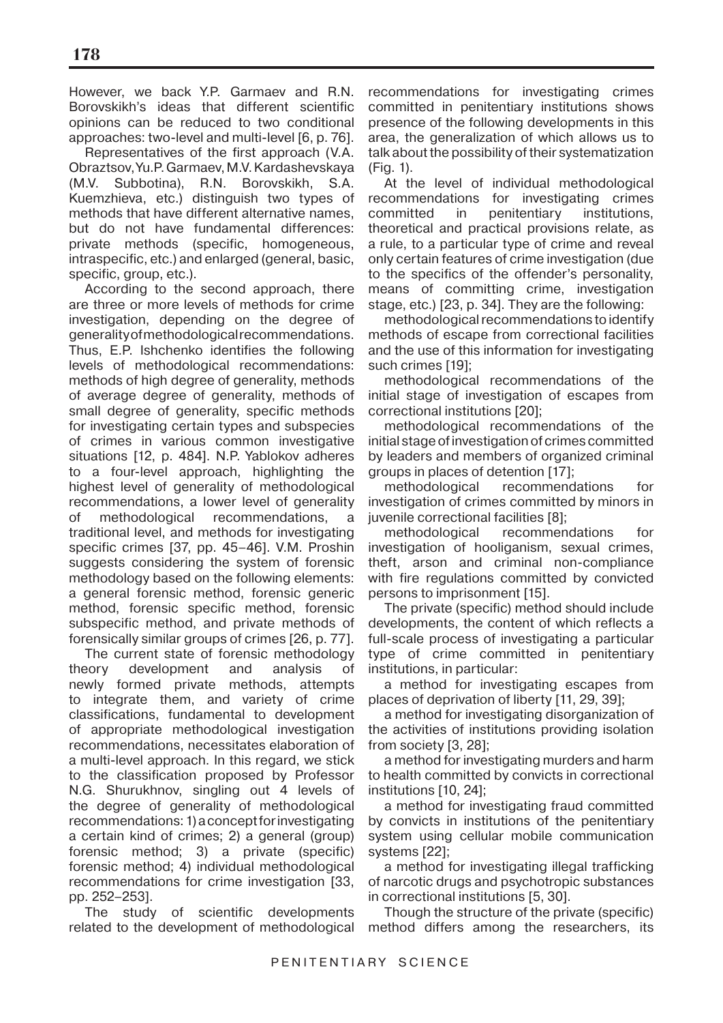However, we back Y.P. Garmaev and R.N. Borovskikh's ideas that different scientific opinions can be reduced to two conditional approaches: two-level and multi-level [6, p. 76].

Representatives of the first approach (V.A. Obraztsov, Yu.P. Garmaev, M.V. Kardashevskaya (M.V. Subbotina), R.N. Borovskikh, S.A. Kuemzhieva, etc.) distinguish two types of methods that have different alternative names, but do not have fundamental differences: private methods (specific, homogeneous, intraspecific, etc.) and enlarged (general, basic, specific, group, etc.).

According to the second approach, there are three or more levels of methods for crime investigation, depending on the degree of generality of methodological recommendations. Thus, E.P. Ishchenko identifies the following levels of methodological recommendations: methods of high degree of generality, methods of average degree of generality, methods of small degree of generality, specific methods for investigating certain types and subspecies of crimes in various common investigative situations [12, p. 484]. N.P. Yablokov adheres to a four-level approach, highlighting the highest level of generality of methodological recommendations, a lower level of generality of methodological recommendations, a traditional level, and methods for investigating specific crimes [37, pp. 45–46]. V.M. Proshin suggests considering the system of forensic methodology based on the following elements: a general forensic method, forensic generic method, forensic specific method, forensic subspecific method, and private methods of forensically similar groups of crimes [26, p. 77].

The current state of forensic methodology theory development and analysis of newly formed private methods, attempts to integrate them, and variety of crime classifications, fundamental to development of appropriate methodological investigation recommendations, necessitates elaboration of a multi-level approach. In this regard, we stick to the classification proposed by Professor N.G. Shurukhnov, singling out 4 levels of the degree of generality of methodological recommendations: 1) a concept for investigating a certain kind of crimes; 2) a general (group) forensic method; 3) a private (specific) forensic method; 4) individual methodological recommendations for crime investigation [33, pp. 252–253].

The study of scientific developments related to the development of methodological

recommendations for investigating crimes committed in penitentiary institutions shows presence of the following developments in this area, the generalization of which allows us to talk about the possibility of their systematization (Fig. 1).

At the level of individual methodological recommendations for investigating crimes committed in penitentiary institutions, theoretical and practical provisions relate, as a rule, to a particular type of crime and reveal only certain features of crime investigation (due to the specifics of the offender's personality, means of committing crime, investigation stage, etc.) [23, p. 34]. They are the following:

methodological recommendations to identify methods of escape from correctional facilities and the use of this information for investigating such crimes [19];

methodological recommendations of the initial stage of investigation of escapes from correctional institutions [20];

methodological recommendations of the initial stage of investigation of crimes committed by leaders and members of organized criminal groups in places of detention [17];

methodological recommendations for investigation of crimes committed by minors in juvenile correctional facilities [8];

methodological recommendations for investigation of hooliganism, sexual crimes, theft, arson and criminal non-compliance with fire regulations committed by convicted persons to imprisonment [15].

The private (specific) method should include developments, the content of which reflects a full-scale process of investigating a particular type of crime committed in penitentiary institutions, in particular:

a method for investigating escapes from places of deprivation of liberty [11, 29, 39];

a method for investigating disorganization of the activities of institutions providing isolation from society [3, 28];

a method for investigating murders and harm to health committed by convicts in correctional institutions [10, 24];

a method for investigating fraud committed by convicts in institutions of the penitentiary system using cellular mobile communication systems [22];

a method for investigating illegal trafficking of narcotic drugs and psychotropic substances in correctional institutions [5, 30].

Though the structure of the private (specific) method differs among the researchers, its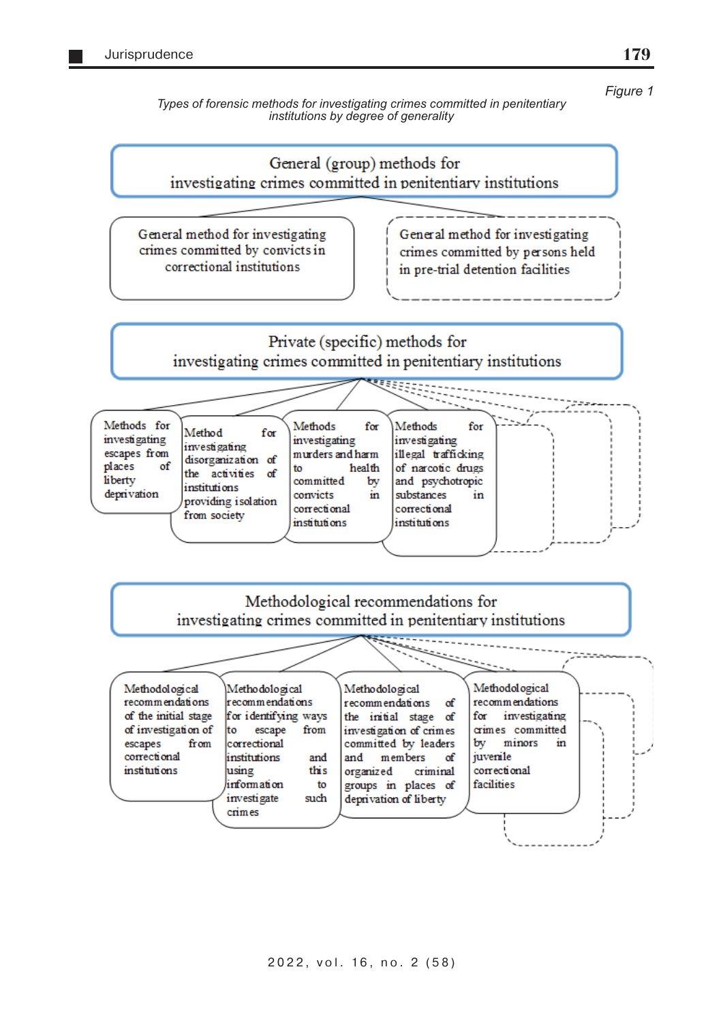*Figure 1*

**179**

*Types of forensic methods for investigating crimes committed in penitentiary institutions by degree of generality* 

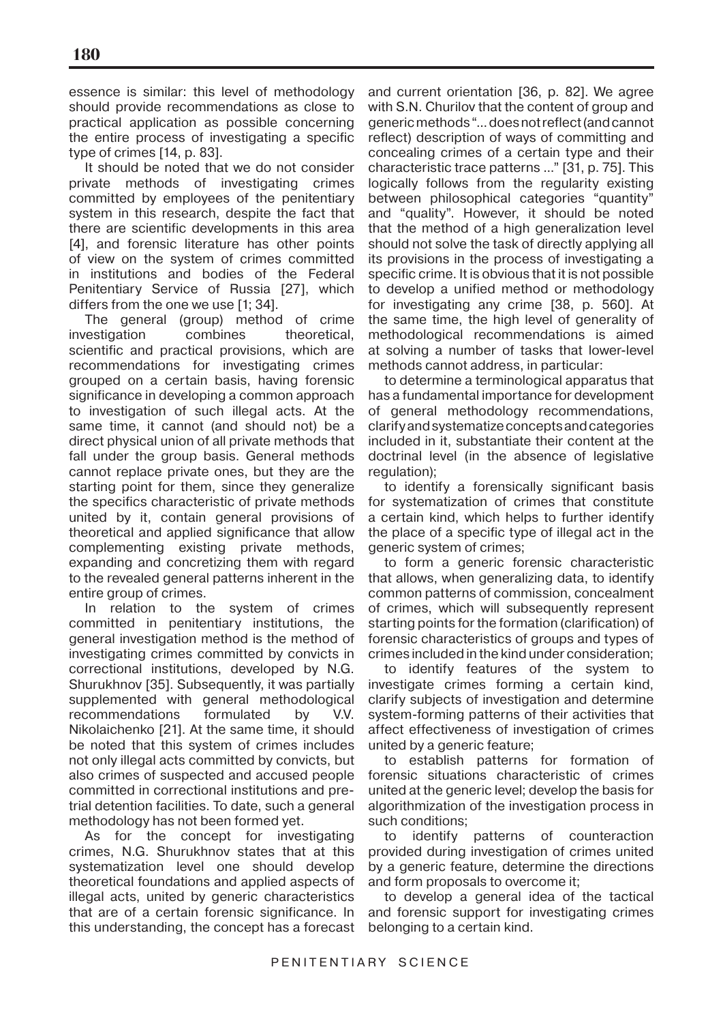essence is similar: this level of methodology should provide recommendations as close to practical application as possible concerning the entire process of investigating a specific type of crimes [14, p. 83].

It should be noted that we do not consider private methods of investigating crimes committed by employees of the penitentiary system in this research, despite the fact that there are scientific developments in this area [4], and forensic literature has other points of view on the system of crimes committed in institutions and bodies of the Federal Penitentiary Service of Russia [27], which differs from the one we use [1; 34].

The general (group) method of crime investigation combines theoretical, scientific and practical provisions, which are recommendations for investigating crimes grouped on a certain basis, having forensic significance in developing a common approach to investigation of such illegal acts. At the same time, it cannot (and should not) be a direct physical union of all private methods that fall under the group basis. General methods cannot replace private ones, but they are the starting point for them, since they generalize the specifics characteristic of private methods united by it, contain general provisions of theoretical and applied significance that allow complementing existing private methods, expanding and concretizing them with regard to the revealed general patterns inherent in the entire group of crimes.

In relation to the system of crimes committed in penitentiary institutions, the general investigation method is the method of investigating crimes committed by convicts in correctional institutions, developed by N.G. Shurukhnov [35]. Subsequently, it was partially supplemented with general methodological recommendations formulated by V.V. Nikolaichenko [21]. At the same time, it should be noted that this system of crimes includes not only illegal acts committed by convicts, but also crimes of suspected and accused people committed in correctional institutions and pretrial detention facilities. To date, such a general methodology has not been formed yet.

As for the concept for investigating crimes, N.G. Shurukhnov states that at this systematization level one should develop theoretical foundations and applied aspects of illegal acts, united by generic characteristics that are of a certain forensic significance. In this understanding, the concept has a forecast

and current orientation [36, p. 82]. We agree with S.N. Churilov that the content of group and generic methods "... does not reflect (and cannot reflect) description of ways of committing and concealing crimes of a certain type and their characteristic trace patterns ..." [31, p. 75]. This logically follows from the regularity existing between philosophical categories "quantity" and "quality". However, it should be noted that the method of a high generalization level should not solve the task of directly applying all its provisions in the process of investigating a specific crime. It is obvious that it is not possible to develop a unified method or methodology for investigating any crime [38, p. 560]. At the same time, the high level of generality of methodological recommendations is aimed at solving a number of tasks that lower-level methods cannot address, in particular:

to determine a terminological apparatus that has a fundamental importance for development of general methodology recommendations, clarify and systematize concepts and categories included in it, substantiate their content at the doctrinal level (in the absence of legislative regulation);

to identify a forensically significant basis for systematization of crimes that constitute a certain kind, which helps to further identify the place of a specific type of illegal act in the generic system of crimes;

to form a generic forensic characteristic that allows, when generalizing data, to identify common patterns of commission, concealment of crimes, which will subsequently represent starting points for the formation (clarification) of forensic characteristics of groups and types of crimes included in the kind under consideration;

to identify features of the system to investigate crimes forming a certain kind, clarify subjects of investigation and determine system-forming patterns of their activities that affect effectiveness of investigation of crimes united by a generic feature;

to establish patterns for formation of forensic situations characteristic of crimes united at the generic level; develop the basis for algorithmization of the investigation process in such conditions;

to identify patterns of counteraction provided during investigation of crimes united by a generic feature, determine the directions and form proposals to overcome it;

to develop a general idea of the tactical and forensic support for investigating crimes belonging to a certain kind.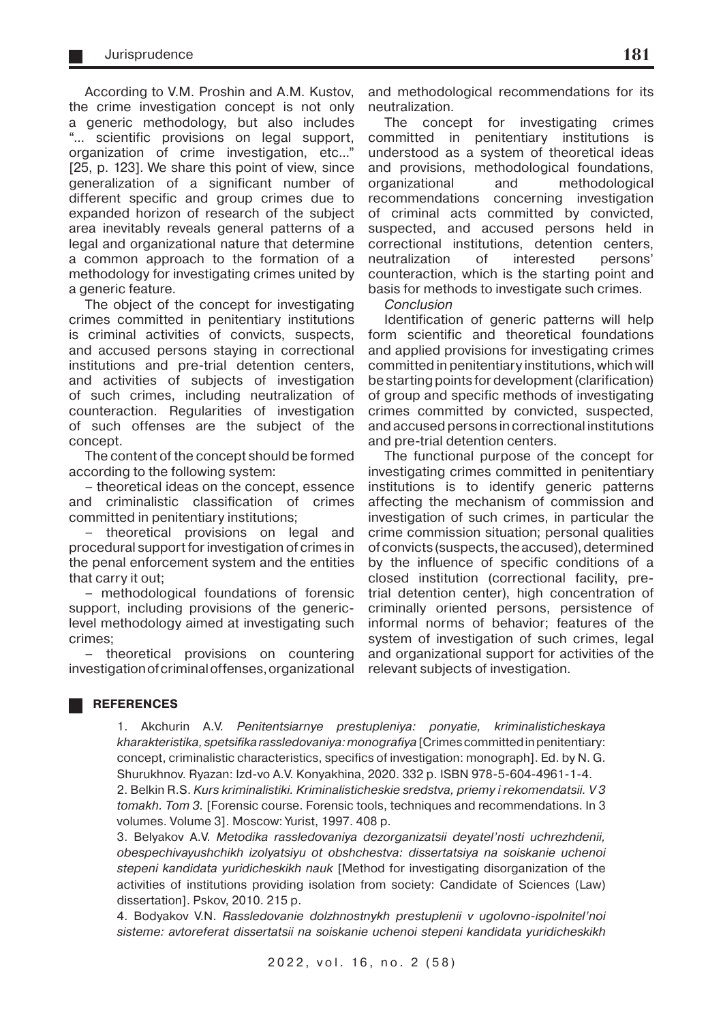According to V.M. Proshin and A.M. Kustov, the crime investigation concept is not only a generic methodology, but also includes "... scientific provisions on legal support, organization of crime investigation, etc..." [25, p. 123]. We share this point of view, since generalization of a significant number of different specific and group crimes due to expanded horizon of research of the subject area inevitably reveals general patterns of a legal and organizational nature that determine a common approach to the formation of a methodology for investigating crimes united by a generic feature.

The object of the concept for investigating crimes committed in penitentiary institutions is criminal activities of convicts, suspects, and accused persons staying in correctional institutions and pre-trial detention centers, and activities of subjects of investigation of such crimes, including neutralization of counteraction. Regularities of investigation of such offenses are the subject of the concept.

The content of the concept should be formed according to the following system:

– theoretical ideas on the concept, essence and criminalistic classification of crimes committed in penitentiary institutions;

– theoretical provisions on legal and procedural support for investigation of crimes in the penal enforcement system and the entities that carry it out;

– methodological foundations of forensic support, including provisions of the genericlevel methodology aimed at investigating such crimes;

– theoretical provisions on countering investigation of criminal offenses, organizational

and methodological recommendations for its neutralization.

The concept for investigating crimes committed in penitentiary institutions is understood as a system of theoretical ideas and provisions, methodological foundations, organizational and methodological recommendations concerning investigation of criminal acts committed by convicted, suspected, and accused persons held in correctional institutions, detention centers, neutralization of interested persons' counteraction, which is the starting point and basis for methods to investigate such crimes.

Conclusion

Identification of generic patterns will help form scientific and theoretical foundations and applied provisions for investigating crimes committed in penitentiary institutions, which will be starting points for development (clarification) of group and specific methods of investigating crimes committed by convicted, suspected, and accused persons in correctional institutions and pre-trial detention centers.

The functional purpose of the concept for investigating crimes committed in penitentiary institutions is to identify generic patterns affecting the mechanism of commission and investigation of such crimes, in particular the crime commission situation; personal qualities of convicts (suspects, the accused), determined by the influence of specific conditions of a closed institution (correctional facility, pretrial detention center), high concentration of criminally oriented persons, persistence of informal norms of behavior; features of the system of investigation of such crimes, legal and organizational support for activities of the relevant subjects of investigation.

#### **REFERENCES**

1. Akchurin A.V. Penitentsiarnye prestupleniya: ponyatie, kriminalisticheskaya kharakteristika, spetsifika rassledovaniya: monografiya [Crimes committed in penitentiary: concept, criminalistic characteristics, specifics of investigation: monograph]. Ed. by N. G. Shurukhnov. Ryazan: Izd-vo A.V. Konyakhina, 2020. 332 p. ISBN 978-5-604-4961-1-4. 2. Belkin R.S. Kurs kriminalistiki. Kriminalisticheskie sredstva, priemy i rekomendatsii. V 3 tomakh. Tom 3. [Forensic course. Forensic tools, techniques and recommendations. In 3

volumes. Volume 3]. Moscow: Yurist, 1997. 408 p.

3. Belyakov A.V. Metodika rassledovaniya dezorganizatsii deyatel'nosti uchrezhdenii, obespechivayushchikh izolyatsiyu ot obshchestva: dissertatsiya na soiskanie uchenoi stepeni kandidata yuridicheskikh nauk [Method for investigating disorganization of the activities of institutions providing isolation from society: Candidate of Sciences (Law) dissertation]. Pskov, 2010. 215 p.

4. Bodyakov V.N. Rassledovanie dolzhnostnykh prestuplenii v ugolovno-ispolnitel'noi sisteme: avtoreferat dissertatsii na soiskanie uchenoi stepeni kandidata yuridicheskikh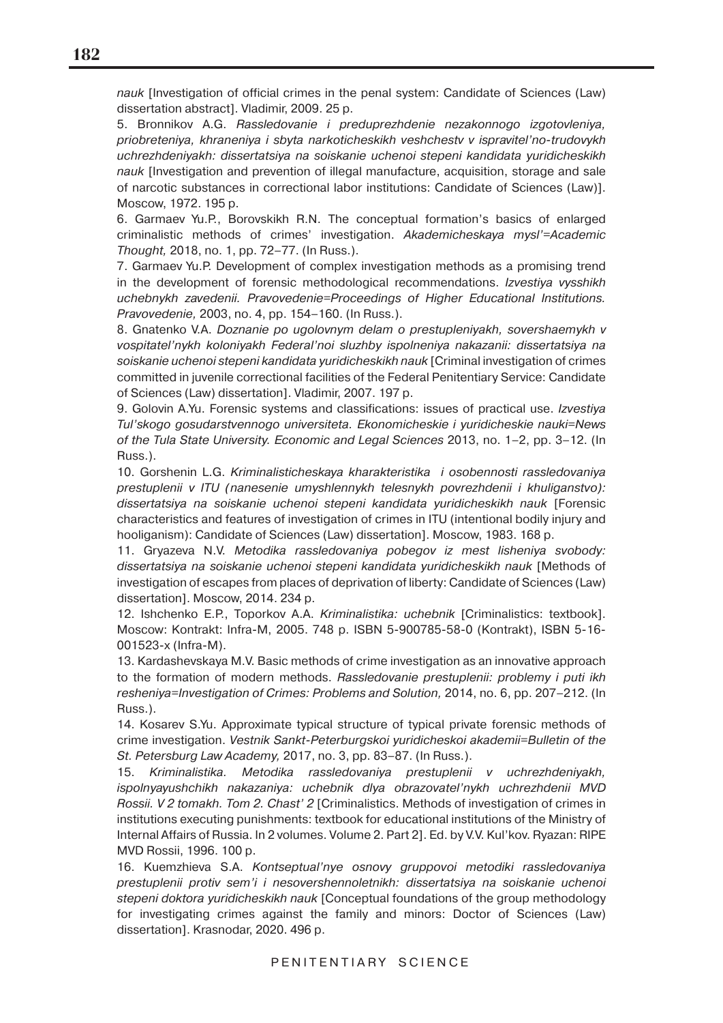nauk [Investigation of official crimes in the penal system: Candidate of Sciences (Law) dissertation abstract]. Vladimir, 2009. 25 p.

5. Bronnikov A.G. Rassledovanie i preduprezhdenie nezakonnogo izgotovleniya, priobreteniya, khraneniya i sbyta narkoticheskikh veshchestv v ispravitel'no-trudovykh uchrezhdeniyakh: dissertatsiya na soiskanie uchenoi stepeni kandidata yuridicheskikh nauk [Investigation and prevention of illegal manufacture, acquisition, storage and sale of narcotic substances in correctional labor institutions: Candidate of Sciences (Law)]. Moscow, 1972. 195 p.

6. Garmaev Yu.P., Borovskikh R.N. The conceptual formation's basics of enlarged criminalistic methods of crimes' investigation. Akademicheskaya mysl'=Academic Thought, 2018, no. 1, pp. 72–77. (In Russ.).

7. Garmaev Yu.P. Development of complex investigation methods as a promising trend in the development of forensic methodological recommendations. Izvestiya vysshikh uchebnykh zavedenii. Pravovedenie=Proceedings of Higher Educational Institutions. Pravovedenie, 2003, no. 4, pp. 154–160. (In Russ.).

8. Gnatenko V.A. Doznanie po ugolovnym delam o prestupleniyakh, sovershaemykh v vospitatel'nykh koloniyakh Federal'noi sluzhby ispolneniya nakazanii: dissertatsiya na soiskanie uchenoi stepeni kandidata yuridicheskikh nauk [Criminal investigation of crimes committed in juvenile correctional facilities of the Federal Penitentiary Service: Candidate of Sciences (Law) dissertation]. Vladimir, 2007. 197 p.

9. Golovin A.Yu. Forensic systems and classifications: issues of practical use. Izvestiya Tul'skogo gosudarstvennogo universiteta. Ekonomicheskie i yuridicheskie nauki=News of the Tula State University. Economic and Legal Sciences 2013, no. 1–2, pp. 3–12. (In Russ.).

10. Gorshenin L.G. Kriminalisticheskaya kharakteristika i osobennosti rassledovaniya prestuplenii v ITU (nanesenie umyshlennykh telesnykh povrezhdenii i khuliganstvo): dissertatsiya na soiskanie uchenoi stepeni kandidata yuridicheskikh nauk [Forensic characteristics and features of investigation of crimes in ITU (intentional bodily injury and hooliganism): Candidate of Sciences (Law) dissertation]. Moscow, 1983. 168 p.

11. Gryazeva N.V. Metodika rassledovaniya pobegov iz mest lisheniya svobody: dissertatsiya na soiskanie uchenoi stepeni kandidata yuridicheskikh nauk [Methods of investigation of escapes from places of deprivation of liberty: Candidate of Sciences (Law) dissertation]. Moscow, 2014. 234 p.

12. Ishchenko E.P., Toporkov A.A. Kriminalistika: uchebnik [Criminalistics: textbook]. Moscow: Kontrakt: Infra-M, 2005. 748 p. ISBN 5-900785-58-0 (Kontrakt), ISBN 5-16- 001523-х (Infra-M).

13. Kardashevskaya M.V. Basic methods of crime investigation as an innovative approach to the formation of modern methods. Rassledovanie prestuplenii: problemy i puti ikh resheniya=Investigation of Crimes: Problems and Solution, 2014, no. 6, pp. 207–212. (In Russ.).

14. Kosarev S.Yu. Approximate typical structure of typical private forensic methods of crime investigation. Vestnik Sankt-Peterburgskoi yuridicheskoi akademii=Bulletin of the St. Petersburg Law Academy, 2017, no. 3, pp. 83–87. (In Russ.).

15. Kriminalistika. Metodika rassledovaniya prestuplenii v uchrezhdeniyakh, ispolnyayushchikh nakazaniya: uchebnik dlya obrazovatel'nykh uchrezhdenii MVD Rossii. V 2 tomakh. Tom 2. Chast' 2 [Criminalistics. Methods of investigation of crimes in institutions executing punishments: textbook for educational institutions of the Ministry of Internal Affairs of Russia. In 2 volumes. Volume 2. Part 2]. Ed. by V.V. Kul'kov. Ryazan: RIPE MVD Rossii, 1996. 100 p.

16. Kuemzhieva S.A. Kontseptual'nye osnovy gruppovoi metodiki rassledovaniya prestuplenii protiv sem'i i nesovershennoletnikh: dissertatsiya na soiskanie uchenoi stepeni doktora yuridicheskikh nauk [Conceptual foundations of the group methodology for investigating crimes against the family and minors: Doctor of Sciences (Law) dissertation]. Krasnodar, 2020. 496 p.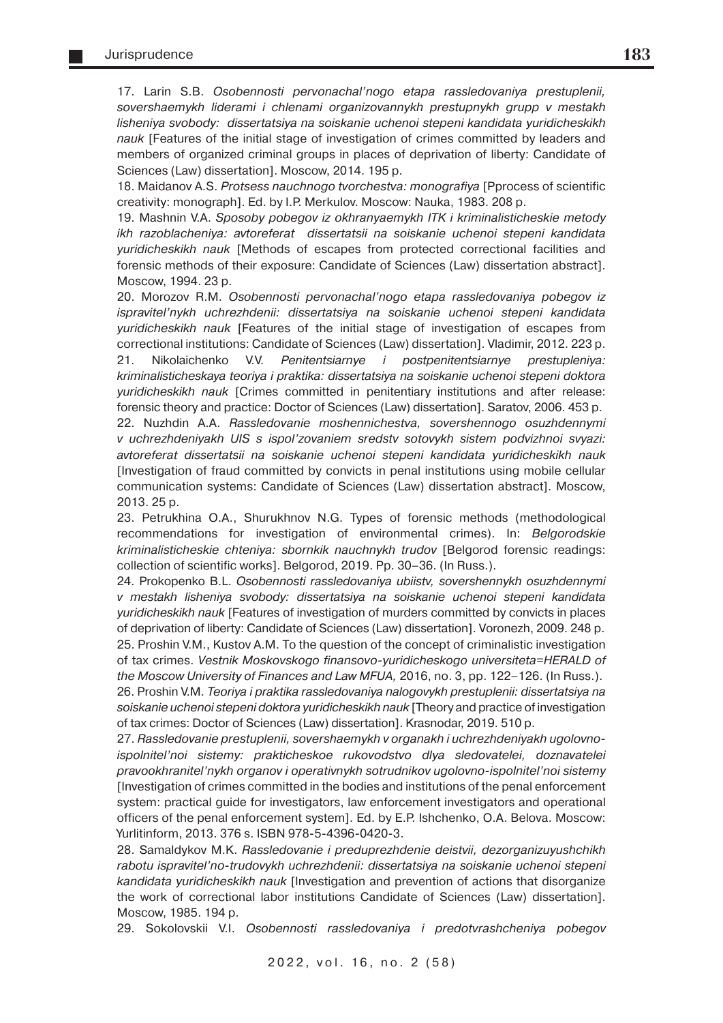17. Larin S.B. Osobennosti pervonachal'nogo etapa rassledovaniya prestuplenii, sovershaemykh liderami i chlenami organizovannykh prestupnykh grupp v mestakh lisheniya svobody: dissertatsiya na soiskanie uchenoi stepeni kandidata yuridicheskikh nauk [Features of the initial stage of investigation of crimes committed by leaders and members of organized criminal groups in places of deprivation of liberty: Candidate of Sciences (Law) dissertation]. Moscow, 2014. 195 p.

18. Maidanov A.S. Protsess nauchnogo tvorchestva: monografiya [Pprocess of scientific creativity: monograph]. Ed. by I.P. Merkulov. Moscow: Nauka, 1983. 208 p.

19. Mashnin V.A. Sposoby pobegov iz okhranyaemykh ITK i kriminalisticheskie metody ikh razoblacheniya: avtoreferat dissertatsii na soiskanie uchenoi stepeni kandidata yuridicheskikh nauk [Methods of escapes from protected correctional facilities and forensic methods of their exposure: Candidate of Sciences (Law) dissertation abstract]. Moscow, 1994. 23 p.

20. Morozov R.M. Osobennosti pervonachal'nogo etapa rassledovaniya pobegov iz ispravitel'nykh uchrezhdenii: dissertatsiya na soiskanie uchenoi stepeni kandidata yuridicheskikh nauk [Features of the initial stage of investigation of escapes from correctional institutions: Candidate of Sciences (Law) dissertation]. Vladimir, 2012. 223 p. 21. Nikolaichenko V.V. Penitentsiarnye i postpenitentsiarnye prestupleniya: kriminalisticheskaya teoriya i praktika: dissertatsiya na soiskanie uchenoi stepeni doktora yuridicheskikh nauk [Crimes committed in penitentiary institutions and after release: forensic theory and practice: Doctor of Sciences (Law) dissertation]. Saratov, 2006. 453 p.

22. Nuzhdin A.A. Rassledovanie moshennichestva, sovershennogo osuzhdennymi v uchrezhdeniyakh UIS s ispol'zovaniem sredstv sotovykh sistem podvizhnoi svyazi: avtoreferat dissertatsii na soiskanie uchenoi stepeni kandidata yuridicheskikh nauk [Investigation of fraud committed by convicts in penal institutions using mobile cellular communication systems: Candidate of Sciences (Law) dissertation abstract]. Moscow, 2013. 25 p.

23. Petrukhina O.A., Shurukhnov N.G. Types of forensic methods (methodological recommendations for investigation of environmental crimes). In: Belgorodskie kriminalisticheskie chteniya: sbornkik nauchnykh trudov [Belgorod forensic readings: collection of scientific works]. Belgorod, 2019. Pp. 30–36. (In Russ.).

24. Prokopenko B.L. Osobennosti rassledovaniya ubiistv, sovershennykh osuzhdennymi v mestakh lisheniya svobody: dissertatsiya na soiskanie uchenoi stepeni kandidata yuridicheskikh nauk [Features of investigation of murders committed by convicts in places of deprivation of liberty: Candidate of Sciences (Law) dissertation]. Voronezh, 2009. 248 p. 25. Proshin V.M., Kustov A.M. To the question of the concept of criminalistic investigation of tax crimes. Vestnik Moskovskogo finansovo-yuridicheskogo universiteta=HERALD of the Mosсow University of Finances and Law MFUA, 2016, no. 3, pp. 122–126. (In Russ.).

26. Proshin V.M. Teoriya i praktika rassledovaniya nalogovykh prestuplenii: dissertatsiya na soiskanie uchenoi stepeni doktora yuridicheskikh nauk [Theory and practice of investigation of tax crimes: Doctor of Sciences (Law) dissertation]. Krasnodar, 2019. 510 p.

27. Rassledovanie prestuplenii, sovershaemykh v organakh i uchrezhdeniyakh ugolovnoispolnitel'noi sistemy: prakticheskoe rukovodstvo dlya sledovatelei, doznavatelei pravookhranitel'nykh organov i operativnykh sotrudnikov ugolovno-ispolnitel'noi sistemy [Investigation of crimes committed in the bodies and institutions of the penal enforcement system: practical guide for investigators, law enforcement investigators and operational officers of the penal enforcement system]. Ed. by E.P. Ishchenko, O.A. Belova. Moscow: Yurlitinform, 2013. 376 s. ISBN 978-5-4396-0420-3.

28. Samaldykov M.K. Rassledovanie i preduprezhdenie deistvii, dezorganizuyushchikh rabotu ispravitel'no-trudovykh uchrezhdenii: dissertatsiya na soiskanie uchenoi stepeni kandidata yuridicheskikh nauk [Investigation and prevention of actions that disorganize the work of correctional labor institutions Candidate of Sciences (Law) dissertation]. Moscow, 1985. 194 p.

29. Sokolovskii V.I. Osobennosti rassledovaniya i predotvrashcheniya pobegov